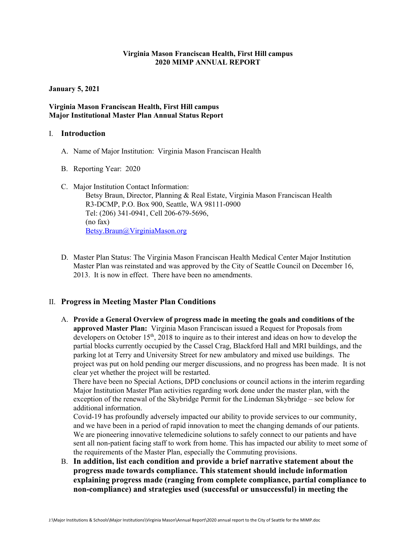### **Virginia Mason Franciscan Health, First Hill campus 2020 MIMP ANNUAL REPORT**

**January 5, 2021**

### **Virginia Mason Franciscan Health, First Hill campus Major Institutional Master Plan Annual Status Report**

### I. **Introduction**

- A. Name of Major Institution: Virginia Mason Franciscan Health
- B. Reporting Year: 2020
- C. Major Institution Contact Information: Betsy Braun, Director, Planning & Real Estate, Virginia Mason Franciscan Health R3-DCMP, P.O. Box 900, Seattle, WA 98111-0900 Tel: (206) 341-0941, Cell 206-679-5696, (no fax) [Betsy.Braun@VirginiaMason.org](mailto:Betsy.Braun@VirginiaMason.org)
- D. Master Plan Status: The Virginia Mason Franciscan Health Medical Center Major Institution Master Plan was reinstated and was approved by the City of Seattle Council on December 16, 2013. It is now in effect. There have been no amendments.

## II. **Progress in Meeting Master Plan Conditions**

A. **Provide a General Overview of progress made in meeting the goals and conditions of the approved Master Plan:** Virginia Mason Franciscan issued a Request for Proposals from developers on October 15<sup>th</sup>, 2018 to inquire as to their interest and ideas on how to develop the partial blocks currently occupied by the Cassel Crag, Blackford Hall and MRI buildings, and the parking lot at Terry and University Street for new ambulatory and mixed use buildings. The project was put on hold pending our merger discussions, and no progress has been made. It is not clear yet whether the project will be restarted.

There have been no Special Actions, DPD conclusions or council actions in the interim regarding Major Institution Master Plan activities regarding work done under the master plan, with the exception of the renewal of the Skybridge Permit for the Lindeman Skybridge – see below for additional information.

Covid-19 has profoundly adversely impacted our ability to provide services to our community, and we have been in a period of rapid innovation to meet the changing demands of our patients. We are pioneering innovative telemedicine solutions to safely connect to our patients and have sent all non-patient facing staff to work from home. This has impacted our ability to meet some of the requirements of the Master Plan, especially the Commuting provisions.

B. **In addition, list each condition and provide a brief narrative statement about the progress made towards compliance. This statement should include information explaining progress made (ranging from complete compliance, partial compliance to non-compliance) and strategies used (successful or unsuccessful) in meeting the**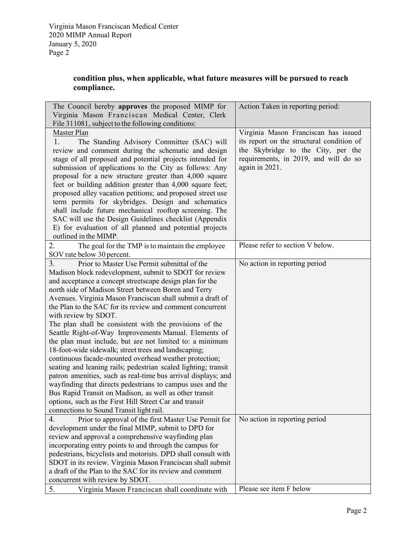# **condition plus, when applicable, what future measures will be pursued to reach compliance.**

| The Council hereby approves the proposed MIMP for<br>Virginia Mason Franciscan Medical Center, Clerk<br>File 311081, subject to the following conditions:                                                                                                                                                                                                                                                                                                                                                                                                                                                                                                                                                                                                                                                                                                                                                                                                                                                                                             | Action Taken in reporting period:                                                                                                                                                  |
|-------------------------------------------------------------------------------------------------------------------------------------------------------------------------------------------------------------------------------------------------------------------------------------------------------------------------------------------------------------------------------------------------------------------------------------------------------------------------------------------------------------------------------------------------------------------------------------------------------------------------------------------------------------------------------------------------------------------------------------------------------------------------------------------------------------------------------------------------------------------------------------------------------------------------------------------------------------------------------------------------------------------------------------------------------|------------------------------------------------------------------------------------------------------------------------------------------------------------------------------------|
| Master Plan<br>1.<br>The Standing Advisory Committee (SAC) will<br>review and comment during the schematic and design<br>stage of all proposed and potential projects intended for<br>submission of applications to the City as follows: Any<br>proposal for a new structure greater than 4,000 square<br>feet or building addition greater than 4,000 square feet;<br>proposed alley vacation petitions; and proposed street use<br>term permits for skybridges. Design and schematics<br>shall include future mechanical rooftop screening. The<br>SAC will use the Design Guidelines checklist (Appendix<br>E) for evaluation of all planned and potential projects<br>outlined in the MIMP.                                                                                                                                                                                                                                                                                                                                                       | Virginia Mason Franciscan has issued<br>its report on the structural condition of<br>the Skybridge to the City, per the<br>requirements, in 2019, and will do so<br>again in 2021. |
| 2.<br>The goal for the TMP is to maintain the employee<br>SOV rate below 30 percent.                                                                                                                                                                                                                                                                                                                                                                                                                                                                                                                                                                                                                                                                                                                                                                                                                                                                                                                                                                  | Please refer to section V below.                                                                                                                                                   |
| 3.<br>Prior to Master Use Permit submittal of the<br>Madison block redevelopment, submit to SDOT for review<br>and acceptance a concept streetscape design plan for the<br>north side of Madison Street between Boren and Terry<br>Avenues. Virginia Mason Franciscan shall submit a draft of<br>the Plan to the SAC for its review and comment concurrent<br>with review by SDOT.<br>The plan shall be consistent with the provisions of the<br>Seattle Right-of-Way Improvements Manual. Elements of<br>the plan must include, but are not limited to: a minimum<br>18-foot-wide sidewalk; street trees and landscaping;<br>continuous facade-mounted overhead weather protection;<br>seating and leaning rails; pedestrian scaled lighting; transit<br>patron amenities, such as real-time bus arrival displays; and<br>wayfinding that directs pedestrians to campus uses and the<br>Bus Rapid Transit on Madison, as well as other transit<br>options, such as the First Hill Street Car and transit<br>connections to Sound Transit light rail. | No action in reporting period                                                                                                                                                      |
| Prior to approval of the first Master Use Permit for<br>4.<br>development under the final MIMP, submit to DPD for<br>review and approval a comprehensive wayfinding plan<br>incorporating entry points to and through the campus for<br>pedestrians, bicyclists and motorists. DPD shall consult with<br>SDOT in its review. Virginia Mason Franciscan shall submit<br>a draft of the Plan to the SAC for its review and comment<br>concurrent with review by SDOT.                                                                                                                                                                                                                                                                                                                                                                                                                                                                                                                                                                                   | No action in reporting period                                                                                                                                                      |
| 5.<br>Virginia Mason Franciscan shall coordinate with                                                                                                                                                                                                                                                                                                                                                                                                                                                                                                                                                                                                                                                                                                                                                                                                                                                                                                                                                                                                 | Please see item F below                                                                                                                                                            |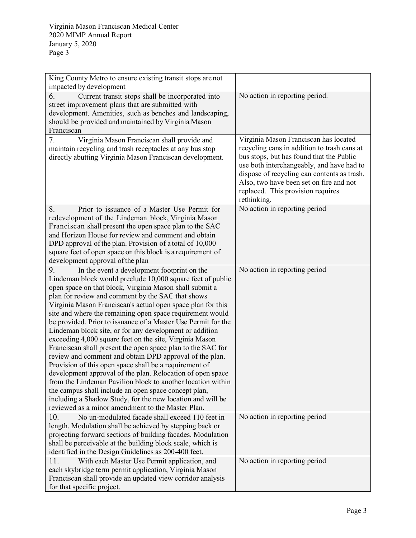| King County Metro to ensure existing transit stops are not                                                             |                                             |
|------------------------------------------------------------------------------------------------------------------------|---------------------------------------------|
| impacted by development                                                                                                |                                             |
| 6.<br>Current transit stops shall be incorporated into                                                                 | No action in reporting period.              |
| street improvement plans that are submitted with                                                                       |                                             |
| development. Amenities, such as benches and landscaping,                                                               |                                             |
| should be provided and maintained by Virginia Mason                                                                    |                                             |
| Franciscan                                                                                                             |                                             |
| 7.<br>Virginia Mason Franciscan shall provide and                                                                      | Virginia Mason Franciscan has located       |
| maintain recycling and trash receptacles at any bus stop                                                               | recycling cans in addition to trash cans at |
| directly abutting Virginia Mason Franciscan development.                                                               | bus stops, but has found that the Public    |
|                                                                                                                        | use both interchangeably, and have had to   |
|                                                                                                                        | dispose of recycling can contents as trash. |
|                                                                                                                        | Also, two have been set on fire and not     |
|                                                                                                                        | replaced. This provision requires           |
|                                                                                                                        | rethinking.                                 |
| 8.<br>Prior to issuance of a Master Use Permit for                                                                     | No action in reporting period               |
| redevelopment of the Lindeman block, Virginia Mason                                                                    |                                             |
| Franciscan shall present the open space plan to the SAC                                                                |                                             |
| and Horizon House for review and comment and obtain                                                                    |                                             |
| DPD approval of the plan. Provision of a total of 10,000                                                               |                                             |
| square feet of open space on this block is a requirement of                                                            |                                             |
| development approval of the plan                                                                                       |                                             |
| 9.<br>In the event a development footprint on the                                                                      | No action in reporting period               |
| Lindeman block would preclude 10,000 square feet of public                                                             |                                             |
| open space on that block, Virginia Mason shall submit a                                                                |                                             |
| plan for review and comment by the SAC that shows                                                                      |                                             |
| Virginia Mason Franciscan's actual open space plan for this                                                            |                                             |
| site and where the remaining open space requirement would                                                              |                                             |
| be provided. Prior to issuance of a Master Use Permit for the                                                          |                                             |
| Lindeman block site, or for any development or addition                                                                |                                             |
| exceeding 4,000 square feet on the site, Virginia Mason<br>Franciscan shall present the open space plan to the SAC for |                                             |
| review and comment and obtain DPD approval of the plan.                                                                |                                             |
| Provision of this open space shall be a requirement of                                                                 |                                             |
| development approval of the plan. Relocation of open space                                                             |                                             |
| from the Lindeman Pavilion block to another location within                                                            |                                             |
| the campus shall include an open space concept plan,                                                                   |                                             |
| including a Shadow Study, for the new location and will be                                                             |                                             |
| reviewed as a minor amendment to the Master Plan.                                                                      |                                             |
| No un-modulated facade shall exceed 110 feet in<br>10.                                                                 | No action in reporting period               |
| length. Modulation shall be achieved by stepping back or                                                               |                                             |
| projecting forward sections of building facades. Modulation                                                            |                                             |
| shall be perceivable at the building block scale, which is                                                             |                                             |
| identified in the Design Guidelines as 200-400 feet.                                                                   |                                             |
| 11.<br>With each Master Use Permit application, and                                                                    | No action in reporting period               |
| each skybridge term permit application, Virginia Mason                                                                 |                                             |
| Franciscan shall provide an updated view corridor analysis                                                             |                                             |
| for that specific project.                                                                                             |                                             |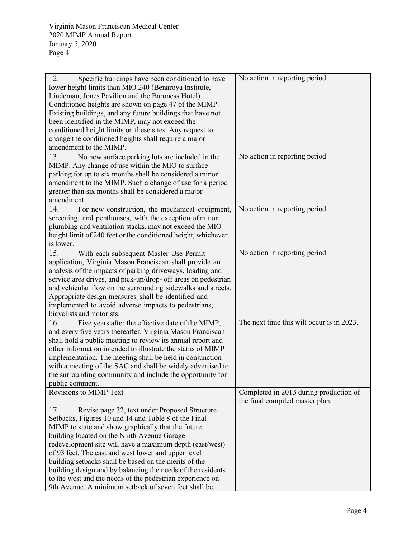| 12.<br>Specific buildings have been conditioned to have        | No action in reporting period             |
|----------------------------------------------------------------|-------------------------------------------|
| lower height limits than MIO 240 (Benaroya Institute,          |                                           |
| Lindeman, Jones Pavilion and the Baroness Hotel).              |                                           |
| Conditioned heights are shown on page 47 of the MIMP.          |                                           |
| Existing buildings, and any future buildings that have not     |                                           |
| been identified in the MIMP, may not exceed the                |                                           |
| conditioned height limits on these sites. Any request to       |                                           |
| change the conditioned heights shall require a major           |                                           |
| amendment to the MIMP.                                         |                                           |
| 13.<br>No new surface parking lots are included in the         | No action in reporting period             |
| MIMP. Any change of use within the MIO to surface              |                                           |
| parking for up to six months shall be considered a minor       |                                           |
| amendment to the MIMP. Such a change of use for a period       |                                           |
| greater than six months shall be considered a major            |                                           |
| amendment.                                                     |                                           |
| 14.<br>For new construction, the mechanical equipment,         | No action in reporting period             |
|                                                                |                                           |
| screening, and penthouses, with the exception of minor         |                                           |
| plumbing and ventilation stacks, may not exceed the MIO        |                                           |
| height limit of 240 feet or the conditioned height, whichever  |                                           |
| is lower.                                                      |                                           |
| 15.<br>With each subsequent Master Use Permit                  | No action in reporting period             |
| application, Virginia Mason Franciscan shall provide an        |                                           |
| analysis of the impacts of parking driveways, loading and      |                                           |
| service area drives, and pick-up/drop- off areas on pedestrian |                                           |
| and vehicular flow on the surrounding sidewalks and streets.   |                                           |
| Appropriate design measures shall be identified and            |                                           |
| implemented to avoid adverse impacts to pedestrians,           |                                           |
| bicyclists and motorists.                                      |                                           |
| 16.<br>Five years after the effective date of the MIMP,        | The next time this will occur is in 2023. |
| and every five years thereafter, Virginia Mason Franciscan     |                                           |
| shall hold a public meeting to review its annual report and    |                                           |
| other information intended to illustrate the status of MIMP    |                                           |
| implementation. The meeting shall be held in conjunction       |                                           |
| with a meeting of the SAC and shall be widely advertised to    |                                           |
| the surrounding community and include the opportunity for      |                                           |
| public comment.                                                |                                           |
| <b>Revisions to MIMP Text</b>                                  | Completed in 2013 during production of    |
|                                                                |                                           |
|                                                                | the final compiled master plan.           |
| 17.<br>Revise page 32, text under Proposed Structure           |                                           |
| Setbacks, Figures 10 and 14 and Table 8 of the Final           |                                           |
| MIMP to state and show graphically that the future             |                                           |
| building located on the Ninth Avenue Garage                    |                                           |
| redevelopment site will have a maximum depth (east/west)       |                                           |
| of 93 feet. The east and west lower and upper level            |                                           |
| building setbacks shall be based on the merits of the          |                                           |
| building design and by balancing the needs of the residents    |                                           |
| to the west and the needs of the pedestrian experience on      |                                           |
| 9th Avenue. A minimum setback of seven feet shall be           |                                           |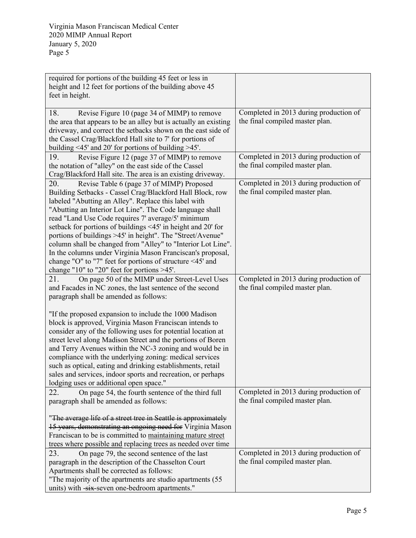| required for portions of the building 45 feet or less in<br>height and 12 feet for portions of the building above 45<br>feet in height.                                                                                                                                                                                                                                                                                                                                                                                                                                                                                                                            |                                                                           |
|--------------------------------------------------------------------------------------------------------------------------------------------------------------------------------------------------------------------------------------------------------------------------------------------------------------------------------------------------------------------------------------------------------------------------------------------------------------------------------------------------------------------------------------------------------------------------------------------------------------------------------------------------------------------|---------------------------------------------------------------------------|
| 18.<br>Revise Figure 10 (page 34 of MIMP) to remove<br>the area that appears to be an alley but is actually an existing<br>driveway, and correct the setbacks shown on the east side of<br>the Cassel Crag/Blackford Hall site to 7' for portions of<br>building <45' and 20' for portions of building >45'.                                                                                                                                                                                                                                                                                                                                                       | Completed in 2013 during production of<br>the final compiled master plan. |
| 19.<br>Revise Figure 12 (page 37 of MIMP) to remove<br>the notation of "alley" on the east side of the Cassel<br>Crag/Blackford Hall site. The area is an existing driveway.                                                                                                                                                                                                                                                                                                                                                                                                                                                                                       | Completed in 2013 during production of<br>the final compiled master plan. |
| 20.<br>Revise Table 6 (page 37 of MIMP) Proposed<br>Building Setbacks - Cassel Crag/Blackford Hall Block, row<br>labeled "Abutting an Alley". Replace this label with<br>"Abutting an Interior Lot Line". The Code language shall<br>read "Land Use Code requires 7' average/5' minimum<br>setback for portions of buildings <45' in height and 20' for<br>portions of buildings >45' in height". The "Street/Avenue"<br>column shall be changed from "Alley" to "Interior Lot Line".<br>In the columns under Virginia Mason Franciscan's proposal,<br>change "O" to "7" feet for portions of structure <45' and<br>change "10" to "20" feet for portions $>45'$ . | Completed in 2013 during production of<br>the final compiled master plan. |
| 21.<br>On page 50 of the MIMP under Street-Level Uses<br>and Facades in NC zones, the last sentence of the second<br>paragraph shall be amended as follows:<br>"If the proposed expansion to include the 1000 Madison                                                                                                                                                                                                                                                                                                                                                                                                                                              | Completed in 2013 during production of<br>the final compiled master plan. |
| block is approved, Virginia Mason Franciscan intends to<br>consider any of the following uses for potential location at<br>street level along Madison Street and the portions of Boren<br>and Terry Avenues within the NC-3 zoning and would be in<br>compliance with the underlying zoning: medical services<br>such as optical, eating and drinking establishments, retail<br>sales and services, indoor sports and recreation, or perhaps<br>lodging uses or additional open space."                                                                                                                                                                            |                                                                           |
| On page 54, the fourth sentence of the third full<br>22.<br>paragraph shall be amended as follows:                                                                                                                                                                                                                                                                                                                                                                                                                                                                                                                                                                 | Completed in 2013 during production of<br>the final compiled master plan. |
| "The average life of a street tree in Seattle is approximately<br>15 years, demonstrating an ongoing need for Virginia Mason<br>Franciscan to be is committed to maintaining mature street<br>trees where possible and replacing trees as needed over time                                                                                                                                                                                                                                                                                                                                                                                                         |                                                                           |
| 23.<br>On page 79, the second sentence of the last<br>paragraph in the description of the Chasselton Court<br>Apartments shall be corrected as follows:<br>"The majority of the apartments are studio apartments (55)<br>units) with -six-seven one-bedroom apartments."                                                                                                                                                                                                                                                                                                                                                                                           | Completed in 2013 during production of<br>the final compiled master plan. |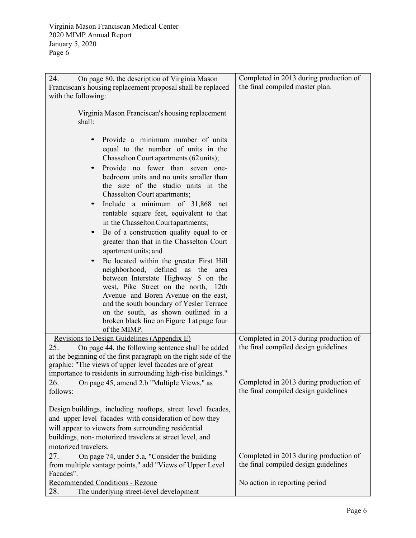| 24.<br>On page 80, the description of Virginia Mason                                                    | Completed in 2013 during production of                                         |
|---------------------------------------------------------------------------------------------------------|--------------------------------------------------------------------------------|
| Franciscan's housing replacement proposal shall be replaced                                             | the final compiled master plan.                                                |
| with the following:                                                                                     |                                                                                |
|                                                                                                         |                                                                                |
| Virginia Mason Franciscan's housing replacement                                                         |                                                                                |
| shall:                                                                                                  |                                                                                |
|                                                                                                         |                                                                                |
| Provide a minimum number of units                                                                       |                                                                                |
| equal to the number of units in the                                                                     |                                                                                |
| Chasselton Court apartments (62 units);                                                                 |                                                                                |
| Provide no fewer than seven one-                                                                        |                                                                                |
| bedroom units and no units smaller than                                                                 |                                                                                |
| the size of the studio units in the                                                                     |                                                                                |
| Chasselton Court apartments;                                                                            |                                                                                |
| Include a minimum of 31,868 net                                                                         |                                                                                |
| rentable square feet, equivalent to that                                                                |                                                                                |
| in the Chasselton Courtapartments;                                                                      |                                                                                |
| Be of a construction quality equal to or<br>$\bullet$                                                   |                                                                                |
| greater than that in the Chasselton Court                                                               |                                                                                |
| apartment units; and                                                                                    |                                                                                |
| Be located within the greater First Hill                                                                |                                                                                |
| defined as the<br>neighborhood,<br>area                                                                 |                                                                                |
| between Interstate Highway 5 on the                                                                     |                                                                                |
| west, Pike Street on the north, 12th                                                                    |                                                                                |
| Avenue and Boren Avenue on the east,                                                                    |                                                                                |
| and the south boundary of Yesler Terrace                                                                |                                                                                |
| on the south, as shown outlined in a                                                                    |                                                                                |
| broken black line on Figure 1 at page four                                                              |                                                                                |
| of the MIMP.                                                                                            |                                                                                |
| Revisions to Design Guidelines (Appendix E)<br>25.<br>On page 44, the following sentence shall be added | Completed in 2013 during production of<br>the final compiled design guidelines |
| at the beginning of the first paragraph on the right side of the                                        |                                                                                |
| graphic: "The views of upper level facades are of great                                                 |                                                                                |
| importance to residents in surrounding high-rise buildings."                                            |                                                                                |
| 26.<br>On page 45, amend 2.b "Multiple Views," as                                                       | Completed in 2013 during production of                                         |
| follows:                                                                                                | the final compiled design guidelines                                           |
|                                                                                                         |                                                                                |
| Design buildings, including rooftops, street level facades,                                             |                                                                                |
| and upper level facades with consideration of how they                                                  |                                                                                |
| will appear to viewers from surrounding residential                                                     |                                                                                |
| buildings, non-motorized travelers at street level, and                                                 |                                                                                |
| motorized travelers.                                                                                    |                                                                                |
| On page 74, under 5.a, "Consider the building<br>27.                                                    | Completed in 2013 during production of                                         |
| from multiple vantage points," add "Views of Upper Level                                                | the final compiled design guidelines                                           |
| Facades".                                                                                               |                                                                                |
| Recommended Conditions - Rezone                                                                         | No action in reporting period                                                  |
| 28.<br>The underlying street-level development                                                          |                                                                                |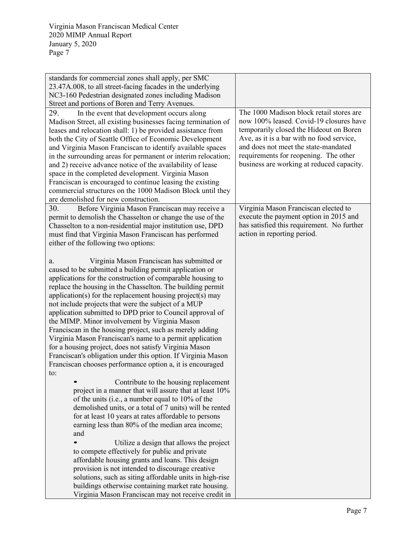| standards for commercial zones shall apply, per SMC<br>23.47A.008, to all street-facing facades in the underlying<br>NC3-160 Pedestrian designated zones including Madison<br>Street and portions of Boren and Terry Avenues.<br>29.<br>In the event that development occurs along<br>Madison Street, all existing businesses facing termination of<br>leases and relocation shall: 1) be provided assistance from<br>both the City of Seattle Office of Economic Development<br>and Virginia Mason Franciscan to identify available spaces<br>in the surrounding areas for permanent or interim relocation;<br>and 2) receive advance notice of the availability of lease<br>space in the completed development. Virginia Mason<br>Franciscan is encouraged to continue leasing the existing<br>commercial structures on the 1000 Madison Block until they<br>are demolished for new construction. | The 1000 Madison block retail stores are<br>now 100% leased. Covid-19 closures have<br>temporarily closed the Hideout on Boren<br>Ave, as it is a bar with no food service,<br>and does not meet the state-mandated<br>requirements for reopening. The other<br>business are working at reduced capacity. |
|-----------------------------------------------------------------------------------------------------------------------------------------------------------------------------------------------------------------------------------------------------------------------------------------------------------------------------------------------------------------------------------------------------------------------------------------------------------------------------------------------------------------------------------------------------------------------------------------------------------------------------------------------------------------------------------------------------------------------------------------------------------------------------------------------------------------------------------------------------------------------------------------------------|-----------------------------------------------------------------------------------------------------------------------------------------------------------------------------------------------------------------------------------------------------------------------------------------------------------|
| 30.<br>Before Virginia Mason Franciscan may receive a<br>permit to demolish the Chasselton or change the use of the<br>Chasselton to a non-residential major institution use, DPD<br>must find that Virginia Mason Franciscan has performed<br>either of the following two options:                                                                                                                                                                                                                                                                                                                                                                                                                                                                                                                                                                                                                 | Virginia Mason Franciscan elected to<br>execute the payment option in 2015 and<br>has satisfied this requirement. No further<br>action in reporting period.                                                                                                                                               |
| Virginia Mason Franciscan has submitted or<br>a.<br>caused to be submitted a building permit application or<br>applications for the construction of comparable housing to<br>replace the housing in the Chasselton. The building permit<br>application(s) for the replacement housing project(s) may<br>not include projects that were the subject of a MUP<br>application submitted to DPD prior to Council approval of<br>the MIMP. Minor involvement by Virginia Mason<br>Franciscan in the housing project, such as merely adding<br>Virginia Mason Franciscan's name to a permit application<br>for a housing project, does not satisfy Virginia Mason<br>Franciscan's obligation under this option. If Virginia Mason<br>Franciscan chooses performance option a, it is encouraged<br>to:                                                                                                     |                                                                                                                                                                                                                                                                                                           |
| Contribute to the housing replacement<br>project in a manner that will assure that at least 10%<br>of the units (i.e., a number equal to 10% of the<br>demolished units, or a total of 7 units) will be rented<br>for at least 10 years at rates affordable to persons<br>earning less than 80% of the median area income;<br>and                                                                                                                                                                                                                                                                                                                                                                                                                                                                                                                                                                   |                                                                                                                                                                                                                                                                                                           |
| Utilize a design that allows the project<br>to compete effectively for public and private<br>affordable housing grants and loans. This design<br>provision is not intended to discourage creative<br>solutions, such as siting affordable units in high-rise<br>buildings otherwise containing market rate housing.<br>Virginia Mason Franciscan may not receive credit in                                                                                                                                                                                                                                                                                                                                                                                                                                                                                                                          |                                                                                                                                                                                                                                                                                                           |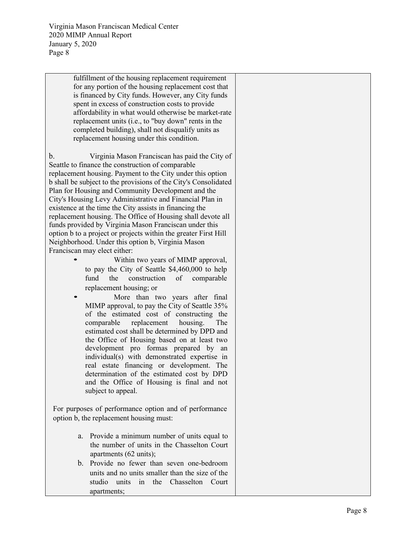> fulfillment of the housing replacement requirement for any portion of the housing replacement cost that is financed by City funds. However, any City funds spent in excess of construction costs to provide affordability in what would otherwise be marke t -rate replacement units (i.e., to "buy down" rents in the completed building), shall not disqualify units as replacement housing under this condition.

b. Virginia Mason Franciscan has paid the City of Seattle to finance the construction of comparable replacement housing. Payment to the City under this option b shall be subject to the provisions of the City's Consolidated Plan for Housing and Community Development and the City's Housing Levy Administrative and Financial Plan in existence at the time the City assists in financing the replacement housing. The Office of Housing shall devote all funds provided by Virginia Mason Franciscan under this option b to a project or projects within the greater First Hill Neighborhood. Under this option b, Virginia Mason Franciscan may elect either:<br>Within two years of MIMP approval,

- to pay the City of Seattle \$4,460,000 to help fund the construction of comparable replacement housing; or
- More than two years after final MIMP approval, to pay the City of Seattle 35% of the estimated cost of constructing the comparable replacement housing. The estimated cost shall be determined by DPD and the Office of Housing based on at least two development pro formas prepared by an individual(s) with demonstrated expertise in real estate financing or development. The determination of the estimated cost by DPD and the Office of Housing is final and not subject to appeal.

For purposes of performance option and of performance option b, the replacement housing must:

- a. Provide a minimum number of units equal to the number of units in the Chasselton Court apartments (62 units);
- b. Provide no fewer than seven one -bedroom units and no units smaller than the size of the studio units in the Chasselton Court apartments;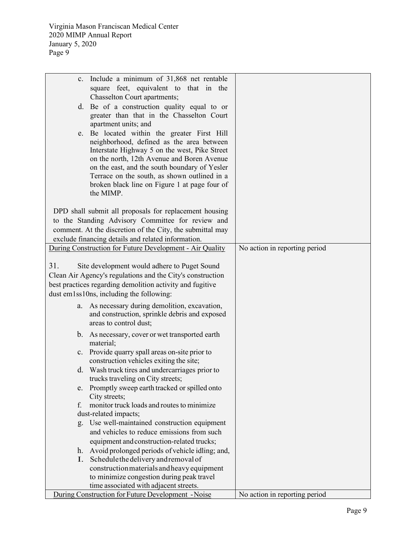| c.  | Include a minimum of 31,868 net rentable                   |                               |
|-----|------------------------------------------------------------|-------------------------------|
|     | square feet, equivalent to that in the                     |                               |
|     | Chasselton Court apartments;                               |                               |
|     | d. Be of a construction quality equal to or                |                               |
|     | greater than that in the Chasselton Court                  |                               |
|     | apartment units; and                                       |                               |
| e.  | Be located within the greater First Hill                   |                               |
|     | neighborhood, defined as the area between                  |                               |
|     | Interstate Highway 5 on the west, Pike Street              |                               |
|     | on the north, 12th Avenue and Boren Avenue                 |                               |
|     | on the east, and the south boundary of Yesler              |                               |
|     | Terrace on the south, as shown outlined in a               |                               |
|     | broken black line on Figure 1 at page four of              |                               |
|     | the MIMP.                                                  |                               |
|     |                                                            |                               |
|     | DPD shall submit all proposals for replacement housing     |                               |
|     | to the Standing Advisory Committee for review and          |                               |
|     | comment. At the discretion of the City, the submittal may  |                               |
|     | exclude financing details and related information.         |                               |
|     | During Construction for Future Development - Air Quality   | No action in reporting period |
|     |                                                            |                               |
| 31. | Site development would adhere to Puget Sound               |                               |
|     | Clean Air Agency's regulations and the City's construction |                               |
|     | best practices regarding demolition activity and fugitive  |                               |
|     | dust em1ss10ns, including the following:                   |                               |
| a.  | As necessary during demolition, excavation,                |                               |
|     | and construction, sprinkle debris and exposed              |                               |
|     | areas to control dust;                                     |                               |
|     | b. As necessary, cover or wet transported earth            |                               |
|     | material;                                                  |                               |
|     | c. Provide quarry spall areas on-site prior to             |                               |
|     | construction vehicles exiting the site;                    |                               |
|     | d. Wash truck tires and undercarriages prior to            |                               |
|     | trucks traveling on City streets;                          |                               |
| e.  | Promptly sweep earth tracked or spilled onto               |                               |
|     | City streets;                                              |                               |
| f.  | monitor truck loads and routes to minimize                 |                               |
|     | dust-related impacts;                                      |                               |
| g.  | Use well-maintained construction equipment                 |                               |
|     | and vehicles to reduce emissions from such                 |                               |
|     | equipment and construction-related trucks;                 |                               |
| h.  | Avoid prolonged periods of vehicle idling; and,            |                               |
| Ι.  | Schedule the delivery and removal of                       |                               |
|     | construction materials and heavy equipment                 |                               |
|     | to minimize congestion during peak travel                  |                               |
|     | time associated with adjacent streets.                     |                               |
|     | During Construction for Future Development - Noise         | No action in reporting period |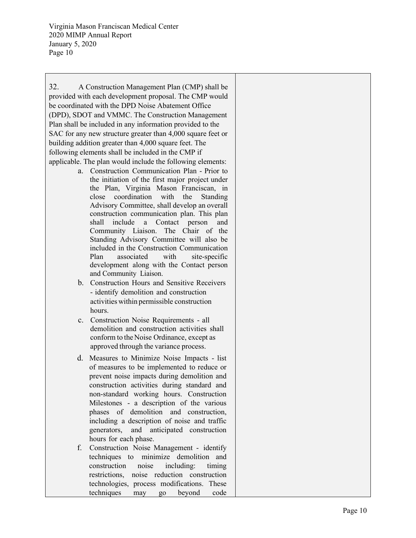32. A Construction Management Plan (CMP) shall be provided with each development proposal. The CMP would be coordinated with the DPD Noise Abatement Office (DPD), SDOT and VMMC. The Construction Management Plan shall be included in any information provided to the SAC for any new structure greater than 4,000 square feet or building addition greater than 4,000 square feet. The following elements shall be included in the CMP if applicable. The plan would include the following elements:

- a. Construction Communication Plan Prior to the initiation of the first major project under the Plan, Virginia Mason Franciscan , in close coordination with the Standing Advisory Committee, shall develop an overall construction communication plan. This plan shall include a Contact person and Community Liaison. The Chair of the Standing Advisory Committee will also be included in the Construction Communication Plan associated with site-specific development along with the Contact person and Community Liaison .
- b. Construction Hours and Sensitive Receivers - identify demolition and construction activities within permissible construction hours.
- c. Construction Noise Requirements all demolition and construction activities shall conform to the Noise Ordinance, except as approved through the variance process.
- d. Measures to Minimize Noise Impacts list of measures to be implemented to reduce or prevent noise impacts during demolition and construction activities during standard and non -standard working hours. Construction Milestones - a description of the various phases of demolition and construction, including a description of noise and traffic generators, and anticipated construction hours for each phase.
- f. Construction Noise Management identify techniques to minimize demolition and construction noise including: timing restrictions, noise reduction construction technologies, process modifications. These techniques may go beyond code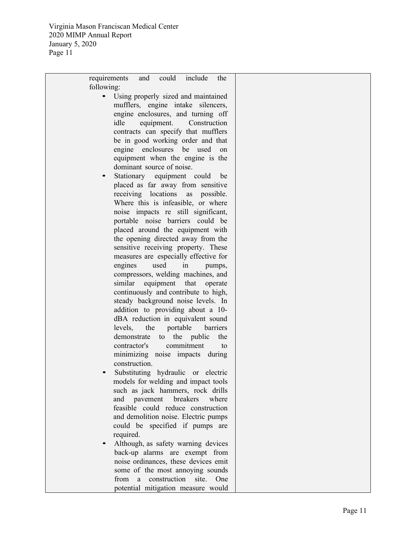> requirements and could include the following: • Using properly sized and maintained

- mufflers, engine intake silencers, engine enclosures, and turning off idle equipment . Constructio n contracts can specify that mufflers be in good working order and that engine enclosures be used on equipment when the engine is the dominant source of noise.
- Stationary equipment could be placed as far away from sensitive receiving locations as possible. Where this is infeasible, or where noise impacts re still significant, portable noise barriers could be placed around the equipment with the opening directed away from the sensitive receiving property. These measures are especially effective for engines used in pumps, compressors, welding machines, and similar equipment that operate continuously and contribute to high, steady background noise levels. In addition to providing about a 10 dBA reduction in equivalent sound levels, the portable barriers demonstrate to the public the contractor's commitment to minimizing noise impacts during construction.
- Substituting hydraulic or electric models for welding and impact tools such as jack hammers, rock drills and pavement breakers where feasible could reduce construction and demolition noise. Electric pumps could be specified if pumps are required.
- Although, as safety warning devices back -up alarms are exempt from noise ordinances, these devices emit some of the most annoying sounds from a construction site. One potential mitigation measure would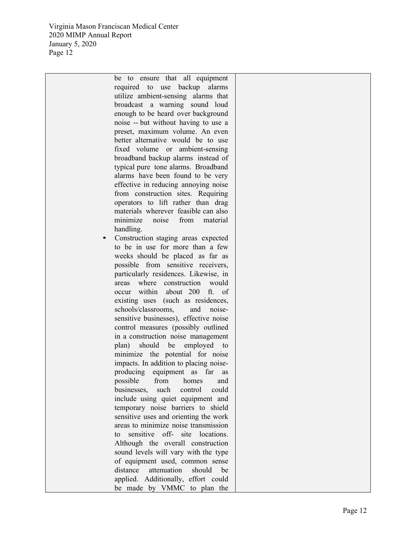> be to ensure that all equipment required to use backup alarms utilize ambient -sensing alarms that broadcast a warning sound loud enough to be heard over background noise - - but without having to use a preset, maximum volume. An even better alternative would be to use fixed volume or ambient -sensing broadband backup alarms instead of typical pure tone alarms. Broadband alarms have been found to be very effective in reducing annoying noise from construction sites . Requiring operators to lift rather than drag materials wherever feasible can also minimize noise from material handling.

Construction staging areas expected to be in use for more than a few weeks should be placed as far as possible from sensitive receivers, particularly residences. Likewise, in areas where construction would occur within about 200 ft. of existing uses (such as residences, schools/classrooms, and noisesensitive businesses), effective noise control measures (possibly outlined in a construction noise management plan) should be employed to minimize the potential for noise impacts. In addition to placing noise producing equipment as far as possible from homes and businesses, such control could include using quiet equipment and temporary noise barriers t o shield sensitive uses and orienting the work areas to minimize noise transmission to sensitive off- site locations. Although the overall construction sound levels will vary with the type of equipment used, common sense distance attenuation should be applied. Additionally, effort could be made by VMMC to plan the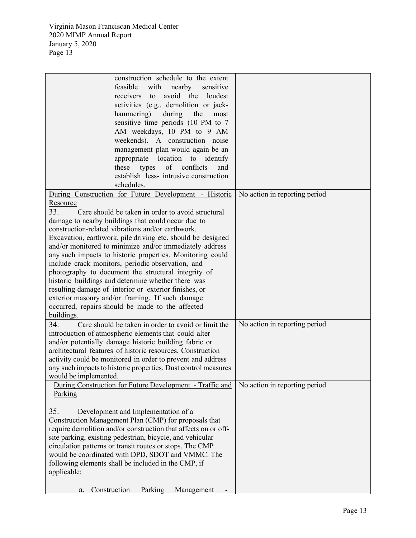| construction schedule to the extent                            |                               |
|----------------------------------------------------------------|-------------------------------|
| feasible<br>with<br>nearby<br>sensitive                        |                               |
| avoid the<br>receivers to<br>loudest                           |                               |
| activities (e.g., demolition or jack-                          |                               |
| during<br>hammering)<br>the<br>most                            |                               |
| sensitive time periods (10 PM to 7                             |                               |
| AM weekdays, 10 PM to 9 AM                                     |                               |
| weekends). A construction noise                                |                               |
| management plan would again be an                              |                               |
| appropriate location to identify                               |                               |
| these types<br>of conflicts<br>and                             |                               |
| establish less- intrusive construction                         |                               |
|                                                                |                               |
| schedules.                                                     |                               |
| During Construction for Future Development - Historic          | No action in reporting period |
| Resource                                                       |                               |
| 33.<br>Care should be taken in order to avoid structural       |                               |
| damage to nearby buildings that could occur due to             |                               |
| construction-related vibrations and/or earthwork.              |                               |
| Excavation, earthwork, pile driving etc. should be designed    |                               |
| and/or monitored to minimize and/or immediately address        |                               |
| any such impacts to historic properties. Monitoring could      |                               |
| include crack monitors, periodic observation, and              |                               |
| photography to document the structural integrity of            |                               |
| historic buildings and determine whether there was             |                               |
| resulting damage of interior or exterior finishes, or          |                               |
| exterior masonry and/or framing. If such damage                |                               |
| occurred, repairs should be made to the affected               |                               |
| buildings.                                                     |                               |
| 34.<br>Care should be taken in order to avoid or limit the     | No action in reporting period |
| introduction of atmospheric elements that could alter          |                               |
| and/or potentially damage historic building fabric or          |                               |
| architectural features of historic resources. Construction     |                               |
| activity could be monitored in order to prevent and address    |                               |
| any such impacts to historic properties. Dust control measures |                               |
| would be implemented.                                          |                               |
| During Construction for Future Development - Traffic and       | No action in reporting period |
| Parking                                                        |                               |
|                                                                |                               |
| 35.<br>Development and Implementation of a                     |                               |
| Construction Management Plan (CMP) for proposals that          |                               |
| require demolition and/or construction that affects on or off- |                               |
| site parking, existing pedestrian, bicycle, and vehicular      |                               |
| circulation patterns or transit routes or stops. The CMP       |                               |
| would be coordinated with DPD, SDOT and VMMC. The              |                               |
| following elements shall be included in the CMP, if            |                               |
| applicable:                                                    |                               |
|                                                                |                               |
| Construction<br>Parking<br>Management<br>a.                    |                               |
|                                                                |                               |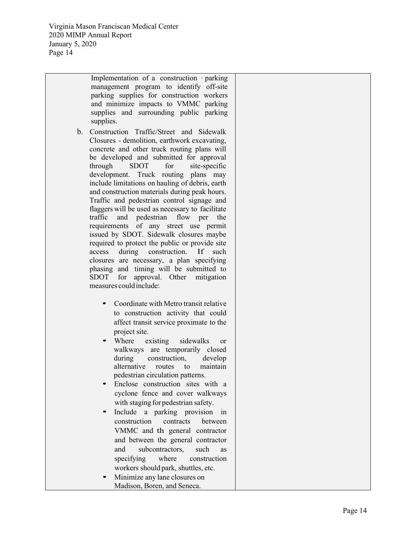> Implementation of a construction parking management program to identify off-site parking supplies for construction workers and minimize impacts to VMMC parking supplies and surroundin g public parking supplies.

- b. Construction Traffic/Street and Sidewalk Closures - demolition, earthwork excavating, concrete and other truck routing plans will be developed and submitted for approval through SDOT for site-specific development. Truck routing p lans may include limitations on hauling of debris, earth and construction materials during peak hours. Traffic and pedestrian control signage and flaggers will be used as necessary to facilitate traffic and pedestrian flow per the requirements of any stree t use permit issued by SDOT. Sidewalk closures maybe required to protect the public or provide site access during construction. If such closures are necessary, a plan specifying phasing and timing will be submitted to SDOT for approval. Other mitigation me asures could include:
	- Coordinate with Metro transit relative to construction activity that could affect transit service proximate to the project site.
	- Where existing sidewalks or walkways are temporarily closed during construction, develop alternative rou tes to maintai maintain pedestrian circulation patterns.
	- Enclose construction sites with a cyclone fence and cover walkways with staging forpedestrian safety.
	- Include a parking provision in construction contracts between VMMC and th general contractor and between the general contractor and subcontractors, such as specifying where construction workers should park, shuttles, etc.
	- Minimize any lane closures on Madison, Boren, and Seneca.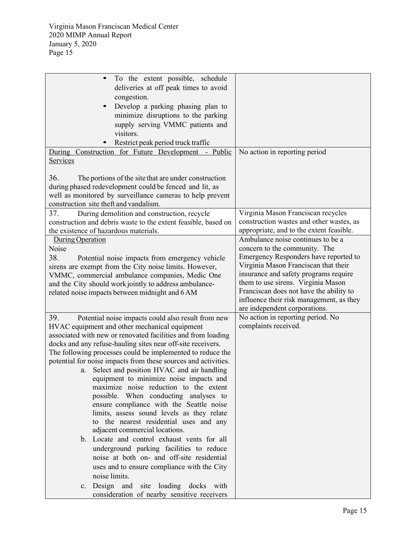| To the extent possible, schedule<br>deliveries at off peak times to avoid<br>congestion.<br>Develop a parking phasing plan to<br>$\bullet$<br>minimize disruptions to the parking<br>supply serving VMMC patients and<br>visitors.<br>Restrict peak period truck traffic<br>During Construction for Future Development - Public<br>Services                                                                                                                                                                                                                                                                                                                                                                                                                                                                                                                                                                                                                                                                                     | No action in reporting period                                                                                                                                                                                                                                                                                                                              |
|---------------------------------------------------------------------------------------------------------------------------------------------------------------------------------------------------------------------------------------------------------------------------------------------------------------------------------------------------------------------------------------------------------------------------------------------------------------------------------------------------------------------------------------------------------------------------------------------------------------------------------------------------------------------------------------------------------------------------------------------------------------------------------------------------------------------------------------------------------------------------------------------------------------------------------------------------------------------------------------------------------------------------------|------------------------------------------------------------------------------------------------------------------------------------------------------------------------------------------------------------------------------------------------------------------------------------------------------------------------------------------------------------|
| 36.<br>The portions of the site that are under construction<br>during phased redevelopment could be fenced and lit, as<br>well as monitored by surveillance cameras to help prevent<br>construction site theft and vandalism.                                                                                                                                                                                                                                                                                                                                                                                                                                                                                                                                                                                                                                                                                                                                                                                                   |                                                                                                                                                                                                                                                                                                                                                            |
| 37.<br>During demolition and construction, recycle<br>construction and debris waste to the extent feasible, based on<br>the existence of hazardous materials.                                                                                                                                                                                                                                                                                                                                                                                                                                                                                                                                                                                                                                                                                                                                                                                                                                                                   | Virginia Mason Franciscan recycles<br>construction wastes and other wastes, as<br>appropriate, and to the extent feasible.                                                                                                                                                                                                                                 |
| During Operation<br>Noise<br>38.<br>Potential noise impacts from emergency vehicle<br>sirens are exempt from the City noise limits. However,<br>VMMC, commercial ambulance companies, Medic One<br>and the City should work jointly to address ambulance-<br>related noise impacts between midnight and 6 AM                                                                                                                                                                                                                                                                                                                                                                                                                                                                                                                                                                                                                                                                                                                    | Ambulance noise continues to be a<br>concern to the community. The<br>Emergency Responders have reported to<br>Virginia Mason Franciscan that their<br>insurance and safety programs require<br>them to use sirens. Virginia Mason<br>Franciscan does not have the ability to<br>influence their risk management, as they<br>are independent corporations. |
| 39.<br>Potential noise impacts could also result from new<br>HVAC equipment and other mechanical equipment<br>associated with new or renovated facilities and from loading<br>docks and any refuse-hauling sites near off-site receivers.<br>The following processes could be implemented to reduce the<br>potential for noise impacts from these sources and activities.<br>a. Select and position HVAC and air handling<br>equipment to minimize noise impacts and<br>maximize noise reduction to the extent<br>possible. When conducting analyses to<br>ensure compliance with the Seattle noise<br>limits, assess sound levels as they relate<br>to the nearest residential uses and any<br>adjacent commercial locations.<br>b. Locate and control exhaust vents for all<br>underground parking facilities to reduce<br>noise at both on- and off-site residential<br>uses and to ensure compliance with the City<br>noise limits.<br>c. Design and site loading docks with<br>consideration of nearby sensitive receivers | No action in reporting period. No<br>complaints received.                                                                                                                                                                                                                                                                                                  |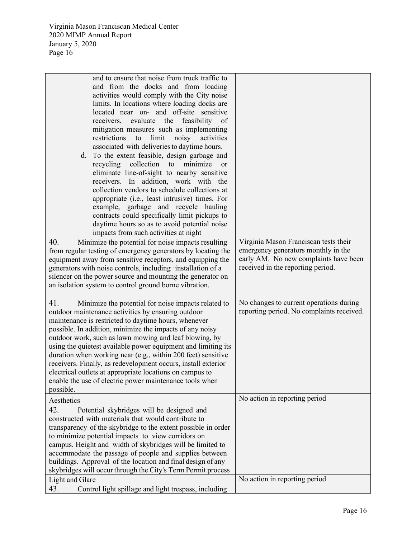| and to ensure that noise from truck traffic to<br>and from the docks and from loading<br>activities would comply with the City noise<br>limits. In locations where loading docks are<br>located near on- and off-site sensitive<br>receivers, evaluate the feasibility of<br>mitigation measures such as implementing<br>limit<br>restrictions<br>to<br>noisy<br>activities<br>associated with deliveries to daytime hours.<br>d. To the extent feasible, design garbage and<br>recycling collection<br>to minimize<br><b>or</b><br>eliminate line-of-sight to nearby sensitive<br>receivers. In addition, work with the<br>collection vendors to schedule collections at<br>appropriate (i.e., least intrusive) times. For<br>example, garbage and recycle hauling<br>contracts could specifically limit pickups to<br>daytime hours so as to avoid potential noise<br>impacts from such activities at night |                                                                                                                                                            |
|---------------------------------------------------------------------------------------------------------------------------------------------------------------------------------------------------------------------------------------------------------------------------------------------------------------------------------------------------------------------------------------------------------------------------------------------------------------------------------------------------------------------------------------------------------------------------------------------------------------------------------------------------------------------------------------------------------------------------------------------------------------------------------------------------------------------------------------------------------------------------------------------------------------|------------------------------------------------------------------------------------------------------------------------------------------------------------|
| 40.<br>Minimize the potential for noise impacts resulting<br>from regular testing of emergency generators by locating the<br>equipment away from sensitive receptors, and equipping the<br>generators with noise controls, including installation of a<br>silencer on the power source and mounting the generator on<br>an isolation system to control ground borne vibration.                                                                                                                                                                                                                                                                                                                                                                                                                                                                                                                                | Virginia Mason Franciscan tests their<br>emergency generators monthly in the<br>early AM. No new complaints have been<br>received in the reporting period. |
| 41.<br>Minimize the potential for noise impacts related to<br>outdoor maintenance activities by ensuring outdoor<br>maintenance is restricted to daytime hours, whenever<br>possible. In addition, minimize the impacts of any noisy<br>outdoor work, such as lawn mowing and leaf blowing, by<br>using the quietest available power equipment and limiting its<br>duration when working near (e.g., within 200 feet) sensitive<br>receivers. Finally, as redevelopment occurs, install exterior<br>electrical outlets at appropriate locations on campus to<br>enable the use of electric power maintenance tools when<br>possible.                                                                                                                                                                                                                                                                          | No changes to current operations during<br>reporting period. No complaints received.                                                                       |
| Aesthetics<br>42.<br>Potential skybridges will be designed and<br>constructed with materials that would contribute to<br>transparency of the skybridge to the extent possible in order<br>to minimize potential impacts to view corridors on<br>campus. Height and width of skybridges will be limited to<br>accommodate the passage of people and supplies between<br>buildings. Approval of the location and final design of any<br>skybridges will occur through the City's Term Permit process                                                                                                                                                                                                                                                                                                                                                                                                            | No action in reporting period                                                                                                                              |
| Light and Glare<br>43.<br>Control light spillage and light trespass, including                                                                                                                                                                                                                                                                                                                                                                                                                                                                                                                                                                                                                                                                                                                                                                                                                                | No action in reporting period                                                                                                                              |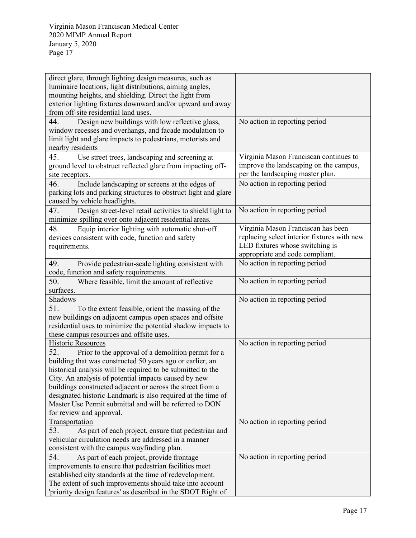| direct glare, through lighting design measures, such as         |                                             |
|-----------------------------------------------------------------|---------------------------------------------|
| luminaire locations, light distributions, aiming angles,        |                                             |
| mounting heights, and shielding. Direct the light from          |                                             |
| exterior lighting fixtures downward and/or upward and away      |                                             |
| from off-site residential land uses.                            |                                             |
| Design new buildings with low reflective glass,<br>44.          | No action in reporting period               |
| window recesses and overhangs, and facade modulation to         |                                             |
| limit light and glare impacts to pedestrians, motorists and     |                                             |
| nearby residents                                                |                                             |
| 45.<br>Use street trees, landscaping and screening at           | Virginia Mason Franciscan continues to      |
| ground level to obstruct reflected glare from impacting off-    | improve the landscaping on the campus,      |
| site receptors.                                                 | per the landscaping master plan.            |
| 46.<br>Include landscaping or screens at the edges of           | No action in reporting period               |
| parking lots and parking structures to obstruct light and glare |                                             |
| caused by vehicle headlights.                                   |                                             |
| 47.<br>Design street-level retail activities to shield light to | No action in reporting period               |
| minimize spilling over onto adjacent residential areas.         |                                             |
| 48.<br>Equip interior lighting with automatic shut-off          | Virginia Mason Franciscan has been          |
| devices consistent with code, function and safety               | replacing select interior fixtures with new |
| requirements.                                                   | LED fixtures whose switching is             |
|                                                                 | appropriate and code compliant.             |
| 49.<br>Provide pedestrian-scale lighting consistent with        | No action in reporting period               |
| code, function and safety requirements.                         |                                             |
| 50.<br>Where feasible, limit the amount of reflective           | No action in reporting period               |
| surfaces.                                                       |                                             |
| Shadows                                                         | No action in reporting period               |
| 51.<br>To the extent feasible, orient the massing of the        |                                             |
| new buildings on adjacent campus open spaces and offsite        |                                             |
| residential uses to minimize the potential shadow impacts to    |                                             |
| these campus resources and offsite uses.                        |                                             |
| <b>Historic Resources</b>                                       | No action in reporting period               |
| 52.<br>Prior to the approval of a demolition permit for a       |                                             |
| building that was constructed 50 years ago or earlier, an       |                                             |
| historical analysis will be required to be submitted to the     |                                             |
| City. An analysis of potential impacts caused by new            |                                             |
| buildings constructed adjacent or across the street from a      |                                             |
| designated historic Landmark is also required at the time of    |                                             |
| Master Use Permit submittal and will be referred to DON         |                                             |
| for review and approval.                                        |                                             |
| Transportation                                                  | No action in reporting period               |
| 53.<br>As part of each project, ensure that pedestrian and      |                                             |
| vehicular circulation needs are addressed in a manner           |                                             |
| consistent with the campus wayfinding plan.                     |                                             |
| 54.<br>As part of each project, provide frontage                | No action in reporting period               |
| improvements to ensure that pedestrian facilities meet          |                                             |
| established city standards at the time of redevelopment.        |                                             |
| The extent of such improvements should take into account        |                                             |
| 'priority design features' as described in the SDOT Right of    |                                             |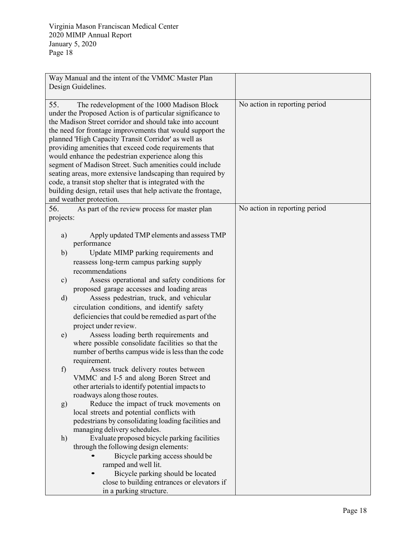|                                                    | Way Manual and the intent of the VMMC Master Plan<br>Design Guidelines.                                                                                                                                                                                                                                                                                                                                                                                                                                                                                                                                                                                                                    |                               |
|----------------------------------------------------|--------------------------------------------------------------------------------------------------------------------------------------------------------------------------------------------------------------------------------------------------------------------------------------------------------------------------------------------------------------------------------------------------------------------------------------------------------------------------------------------------------------------------------------------------------------------------------------------------------------------------------------------------------------------------------------------|-------------------------------|
| 55.                                                | The redevelopment of the 1000 Madison Block<br>under the Proposed Action is of particular significance to<br>the Madison Street corridor and should take into account<br>the need for frontage improvements that would support the<br>planned 'High Capacity Transit Corridor' as well as<br>providing amenities that exceed code requirements that<br>would enhance the pedestrian experience along this<br>segment of Madison Street. Such amenities could include<br>seating areas, more extensive landscaping than required by<br>code, a transit stop shelter that is integrated with the<br>building design, retail uses that help activate the frontage,<br>and weather protection. | No action in reporting period |
| 56.                                                | As part of the review process for master plan                                                                                                                                                                                                                                                                                                                                                                                                                                                                                                                                                                                                                                              | No action in reporting period |
| projects:<br>a)<br>b)<br>$\mathbf{c})$<br>d)<br>e) | Apply updated TMP elements and assess TMP<br>performance<br>Update MIMP parking requirements and<br>reassess long-term campus parking supply<br>recommendations<br>Assess operational and safety conditions for<br>proposed garage accesses and loading areas<br>Assess pedestrian, truck, and vehicular<br>circulation conditions, and identify safety<br>deficiencies that could be remedied as part of the<br>project under review.<br>Assess loading berth requirements and<br>where possible consolidate facilities so that the<br>number of berths campus wide is less than the code<br>requirement.                                                                                 |                               |
| f                                                  | Assess truck delivery routes between<br>VMMC and I-5 and along Boren Street and<br>other arterials to identify potential impacts to<br>roadways along those routes.                                                                                                                                                                                                                                                                                                                                                                                                                                                                                                                        |                               |
| g)                                                 | Reduce the impact of truck movements on<br>local streets and potential conflicts with<br>pedestrians by consolidating loading facilities and<br>managing delivery schedules.                                                                                                                                                                                                                                                                                                                                                                                                                                                                                                               |                               |
| h)                                                 | Evaluate proposed bicycle parking facilities<br>through the following design elements:<br>Bicycle parking access should be<br>ramped and well lit.<br>Bicycle parking should be located<br>close to building entrances or elevators if<br>in a parking structure.                                                                                                                                                                                                                                                                                                                                                                                                                          |                               |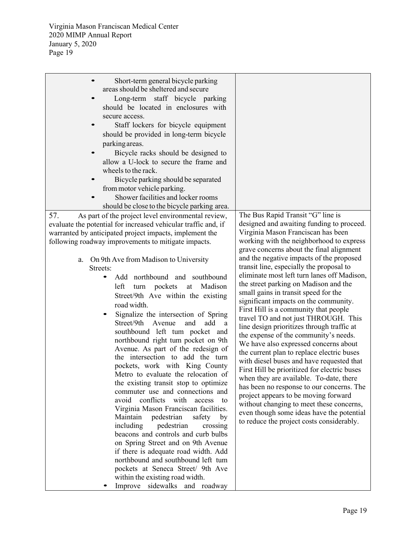| Short-term general bicycle parking<br>areas should be sheltered and secure<br>Long-term staff bicycle parking<br>should be located in enclosures with<br>secure access.<br>Staff lockers for bicycle equipment<br>should be provided in long-term bicycle<br>parking areas.<br>Bicycle racks should be designed to<br>allow a U-lock to secure the frame and<br>wheels to the rack.<br>Bicycle parking should be separated<br>from motor vehicle parking.<br>Shower facilities and locker rooms<br>should be close to the bicycle parking area.                                                                                                                                                                                                                                                                                                                                                                                                                                                                                   |                                                                                                                                                                                                                                                                                                                                                                                                                                                                                                                                                                                                                                                                                                                                                                                                                                                                                                 |
|-----------------------------------------------------------------------------------------------------------------------------------------------------------------------------------------------------------------------------------------------------------------------------------------------------------------------------------------------------------------------------------------------------------------------------------------------------------------------------------------------------------------------------------------------------------------------------------------------------------------------------------------------------------------------------------------------------------------------------------------------------------------------------------------------------------------------------------------------------------------------------------------------------------------------------------------------------------------------------------------------------------------------------------|-------------------------------------------------------------------------------------------------------------------------------------------------------------------------------------------------------------------------------------------------------------------------------------------------------------------------------------------------------------------------------------------------------------------------------------------------------------------------------------------------------------------------------------------------------------------------------------------------------------------------------------------------------------------------------------------------------------------------------------------------------------------------------------------------------------------------------------------------------------------------------------------------|
| 57.<br>As part of the project level environmental review,<br>evaluate the potential for increased vehicular traffic and, if                                                                                                                                                                                                                                                                                                                                                                                                                                                                                                                                                                                                                                                                                                                                                                                                                                                                                                       | The Bus Rapid Transit "G" line is<br>designed and awaiting funding to proceed.                                                                                                                                                                                                                                                                                                                                                                                                                                                                                                                                                                                                                                                                                                                                                                                                                  |
| warranted by anticipated project impacts, implement the<br>following roadway improvements to mitigate impacts.                                                                                                                                                                                                                                                                                                                                                                                                                                                                                                                                                                                                                                                                                                                                                                                                                                                                                                                    | Virginia Mason Franciscan has been<br>working with the neighborhood to express<br>grave concerns about the final alignment                                                                                                                                                                                                                                                                                                                                                                                                                                                                                                                                                                                                                                                                                                                                                                      |
| On 9th Ave from Madison to University<br>a.<br>Streets:<br>Add northbound and southbound<br>$\bullet$<br>Madison<br>left<br>pockets<br>turn<br>at<br>Street/9th Ave within the existing<br>road width.<br>Signalize the intersection of Spring<br>Street/9th<br>Avenue<br>and<br>add<br>a<br>southbound left tum pocket and<br>northbound right tum pocket on 9th<br>Avenue. As part of the redesign of<br>the intersection to add the turn<br>pockets, work with King County<br>Metro to evaluate the relocation of<br>the existing transit stop to optimize<br>commuter use and connections and<br>avoid conflicts with<br>access to<br>Virginia Mason Franciscan facilities.<br>Maintain<br>pedestrian<br>safety by<br>including<br>pedestrian<br>crossing<br>beacons and controls and curb bulbs<br>on Spring Street and on 9th Avenue<br>if there is adequate road width. Add<br>northbound and southbound left tum<br>pockets at Seneca Street/ 9th Ave<br>within the existing road width.<br>Improve sidewalks and roadway | and the negative impacts of the proposed<br>transit line, especially the proposal to<br>eliminate most left turn lanes off Madison,<br>the street parking on Madison and the<br>small gains in transit speed for the<br>significant impacts on the community.<br>First Hill is a community that people<br>travel TO and not just THROUGH. This<br>line design prioritizes through traffic at<br>the expense of the community's needs.<br>We have also expressed concerns about<br>the current plan to replace electric buses<br>with diesel buses and have requested that<br>First Hill be prioritized for electric buses<br>when they are available. To-date, there<br>has been no response to our concerns. The<br>project appears to be moving forward<br>without changing to meet these concerns,<br>even though some ideas have the potential<br>to reduce the project costs considerably. |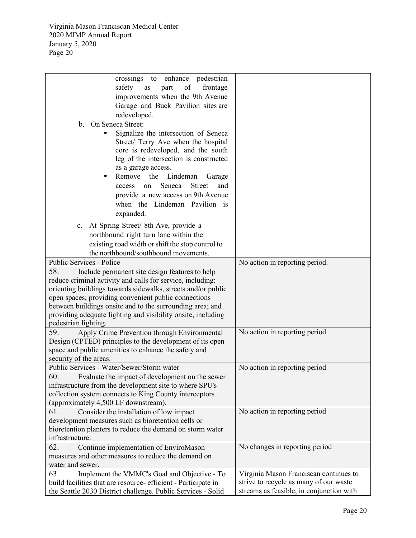| crossings to enhance pedestrian                                                                                                                             |                                          |  |
|-------------------------------------------------------------------------------------------------------------------------------------------------------------|------------------------------------------|--|
| safety<br>part<br>of<br>frontage<br>as                                                                                                                      |                                          |  |
| improvements when the 9th Avenue                                                                                                                            |                                          |  |
| Garage and Buck Pavilion sites are                                                                                                                          |                                          |  |
| redeveloped.                                                                                                                                                |                                          |  |
| On Seneca Street:<br>b.                                                                                                                                     |                                          |  |
| Signalize the intersection of Seneca<br>Street/ Terry Ave when the hospital<br>core is redeveloped, and the south<br>leg of the intersection is constructed |                                          |  |
| as a garage access.                                                                                                                                         |                                          |  |
| Remove the<br>Lindeman<br>Garage                                                                                                                            |                                          |  |
| Seneca<br><b>Street</b><br>and<br>access<br>on                                                                                                              |                                          |  |
| provide a new access on 9th Avenue                                                                                                                          |                                          |  |
| when the Lindeman Pavilion is                                                                                                                               |                                          |  |
| expanded.                                                                                                                                                   |                                          |  |
|                                                                                                                                                             |                                          |  |
| c. At Spring Street/ 8th Ave, provide a                                                                                                                     |                                          |  |
| northbound right turn lane within the                                                                                                                       |                                          |  |
| existing road width or shift the stop control to                                                                                                            |                                          |  |
| the northbound/southbound movements.                                                                                                                        |                                          |  |
| Public Services - Police                                                                                                                                    | No action in reporting period.           |  |
| 58.<br>Include permanent site design features to help                                                                                                       |                                          |  |
| reduce criminal activity and calls for service, including:                                                                                                  |                                          |  |
| orienting buildings towards sidewalks, streets and/or public                                                                                                |                                          |  |
| open spaces; providing convenient public connections                                                                                                        |                                          |  |
| between buildings onsite and to the surrounding area; and                                                                                                   |                                          |  |
| providing adequate lighting and visibility onsite, including<br>pedestrian lighting.                                                                        |                                          |  |
| 59.<br>Apply Crime Prevention through Environmental                                                                                                         | No action in reporting period            |  |
| Design (CPTED) principles to the development of its open                                                                                                    |                                          |  |
| space and public amenities to enhance the safety and                                                                                                        |                                          |  |
| security of the areas.                                                                                                                                      |                                          |  |
| Public Services - Water/Sewer/Storm water                                                                                                                   | No action in reporting period            |  |
| 60.<br>Evaluate the impact of development on the sewer                                                                                                      |                                          |  |
| infrastructure from the development site to where SPU's                                                                                                     |                                          |  |
| collection system connects to King County interceptors                                                                                                      |                                          |  |
| (approximately 4,500 LF downstream).                                                                                                                        |                                          |  |
| No action in reporting period<br>61.<br>Consider the installation of low impact                                                                             |                                          |  |
| development measures such as bioretention cells or                                                                                                          |                                          |  |
| bioretention planters to reduce the demand on storm water                                                                                                   |                                          |  |
| infrastructure.                                                                                                                                             |                                          |  |
| 62.<br>Continue implementation of EnviroMason                                                                                                               | No changes in reporting period           |  |
| measures and other measures to reduce the demand on                                                                                                         |                                          |  |
| water and sewer.                                                                                                                                            |                                          |  |
| 63.<br>Implement the VMMC's Goal and Objective - To                                                                                                         | Virginia Mason Franciscan continues to   |  |
| build facilities that are resource- efficient - Participate in                                                                                              | strive to recycle as many of our waste   |  |
| the Seattle 2030 District challenge. Public Services - Solid                                                                                                | streams as feasible, in conjunction with |  |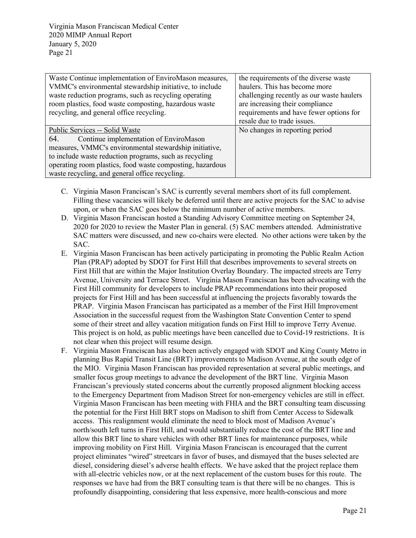| Waste Continue implementation of EnviroMason measures,<br>VMMC's environmental stewardship initiative, to include<br>waste reduction programs, such as recycling operating<br>room plastics, food waste composting, hazardous waste<br>recycling, and general office recycling. | the requirements of the diverse waste<br>haulers. This has become more<br>challenging recently as our waste haulers<br>are increasing their compliance<br>requirements and have fewer options for<br>resale due to trade issues. |
|---------------------------------------------------------------------------------------------------------------------------------------------------------------------------------------------------------------------------------------------------------------------------------|----------------------------------------------------------------------------------------------------------------------------------------------------------------------------------------------------------------------------------|
| Public Services -- Solid Waste                                                                                                                                                                                                                                                  | No changes in reporting period                                                                                                                                                                                                   |
| Continue implementation of EnviroMason<br>64.                                                                                                                                                                                                                                   |                                                                                                                                                                                                                                  |
| measures, VMMC's environmental stewardship initiative,                                                                                                                                                                                                                          |                                                                                                                                                                                                                                  |
| to include waste reduction programs, such as recycling                                                                                                                                                                                                                          |                                                                                                                                                                                                                                  |
| operating room plastics, food waste composting, hazardous                                                                                                                                                                                                                       |                                                                                                                                                                                                                                  |
| waste recycling, and general office recycling.                                                                                                                                                                                                                                  |                                                                                                                                                                                                                                  |

- C. Virginia Mason Franciscan's SAC is currently several members short of its full complement. Filling these vacancies will likely be deferred until there are active projects for the SAC to advise upon, or when the SAC goes below the minimum number of active members.
- D. Virginia Mason Franciscan hosted a Standing Advisory Committee meeting on September 24, 2020 for 2020 to review the Master Plan in general. (5) SAC members attended. Administrative SAC matters were discussed, and new co-chairs were elected. No other actions were taken by the SAC.
- E. Virginia Mason Franciscan has been actively participating in promoting the Public Realm Action Plan (PRAP) adopted by SDOT for First Hill that describes improvements to several streets on First Hill that are within the Major Institution Overlay Boundary. The impacted streets are Terry Avenue, University and Terrace Street. Virginia Mason Franciscan has been advocating with the First Hill community for developers to include PRAP recommendations into their proposed projects for First Hill and has been successful at influencing the projects favorably towards the PRAP. Virginia Mason Franciscan has participated as a member of the First Hill Improvement Association in the successful request from the Washington State Convention Center to spend some of their street and alley vacation mitigation funds on First Hill to improve Terry Avenue. This project is on hold, as public meetings have been cancelled due to Covid-19 restrictions. It is not clear when this project will resume design.
- F. Virginia Mason Franciscan has also been actively engaged with SDOT and King County Metro in planning Bus Rapid Transit Line (BRT) improvements to Madison Avenue, at the south edge of the MIO. Virginia Mason Franciscan has provided representation at several public meetings, and smaller focus group meetings to advance the development of the BRT line. Virginia Mason Franciscan's previously stated concerns about the currently proposed alignment blocking access to the Emergency Department from Madison Street for non-emergency vehicles are still in effect. Virginia Mason Franciscan has been meeting with FHIA and the BRT consulting team discussing the potential for the First Hill BRT stops on Madison to shift from Center Access to Sidewalk access. This realignment would eliminate the need to block most of Madison Avenue's north/south left turns in First Hill, and would substantially reduce the cost of the BRT line and allow this BRT line to share vehicles with other BRT lines for maintenance purposes, while improving mobility on First Hill. Virginia Mason Franciscan is encouraged that the current project eliminates "wired" streetcars in favor of buses, and dismayed that the buses selected are diesel, considering diesel's adverse health effects. We have asked that the project replace them with all-electric vehicles now, or at the next replacement of the custom buses for this route. The responses we have had from the BRT consulting team is that there will be no changes. This is profoundly disappointing, considering that less expensive, more health-conscious and more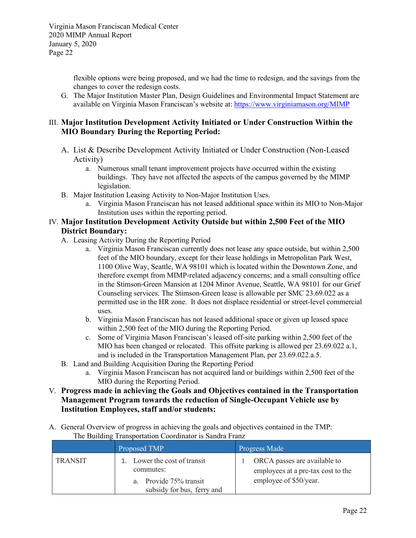flexible options were being proposed, and we had the time to redesign, and the savings from the changes to cover the redesign costs.

G. The Major Institution Master Plan, Design Guidelines and Environmental Impact Statement are available on Virginia Mason Franciscan's website at:<https://www.virginiamason.org/MIMP>

## III. **Major Institution Development Activity Initiated or Under Construction Within the MIO Boundary During the Reporting Period:**

- A. List & Describe Development Activity Initiated or Under Construction (Non-Leased Activity)
	- a. Numerous small tenant improvement projects have occurred within the existing buildings. They have not affected the aspects of the campus governed by the MIMP legislation.
- B. Major Institution Leasing Activity to Non-Major Institution Uses.
	- a. Virginia Mason Franciscan has not leased additional space within its MIO to Non-Major Institution uses within the reporting period.

## IV. **Major Institution Development Activity Outside but within 2,500 Feet of the MIO District Boundary:**

- A. Leasing Activity During the Reporting Period
	- a. Virginia Mason Franciscan currently does not lease any space outside, but within 2,500 feet of the MIO boundary, except for their lease holdings in Metropolitan Park West, 1100 Olive Way, Seattle, WA 98101 which is located within the Downtown Zone, and therefore exempt from MIMP-related adjacency concerns; and a small consulting office in the Stimson-Green Mansion at 1204 Minor Avenue, Seattle, WA 98101 for our Grief Counseling services. The Stimson-Green lease is allowable per SMC 23.69.022 as a permitted use in the HR zone. It does not displace residential or street-level commercial uses.
	- b. Virginia Mason Franciscan has not leased additional space or given up leased space within 2,500 feet of the MIO during the Reporting Period.
	- c. Some of Virginia Mason Franciscan's leased off-site parking within 2,500 feet of the MIO has been changed or relocated. This offsite parking is allowed per 23.69.022 a.1, and is included in the Transportation Management Plan, per 23.69.022.a.5.
- B. Land and Building Acquisition During the Reporting Period
	- a. Virginia Mason Franciscan has not acquired land or buildings within 2,500 feet of the MIO during the Reporting Period.
- V. **Progress made in achieving the Goals and Objectives contained in the Transportation Management Program towards the reduction of Single-Occupant Vehicle use by Institution Employees, staff and/or students:**
- A. General Overview of progress in achieving the goals and objectives contained in the TMP: The Building Transportation Coordinator is Sandra Franz

|         | Proposed TMP                                                                                      | <b>Progress Made</b>                                                                         |
|---------|---------------------------------------------------------------------------------------------------|----------------------------------------------------------------------------------------------|
| TRANSIT | 1. Lower the cost of transit<br>commutes:<br>a. Provide 75% transit<br>subsidy for bus, ferry and | ORCA passes are available to<br>employees at a pre-tax cost to the<br>employee of \$50/year. |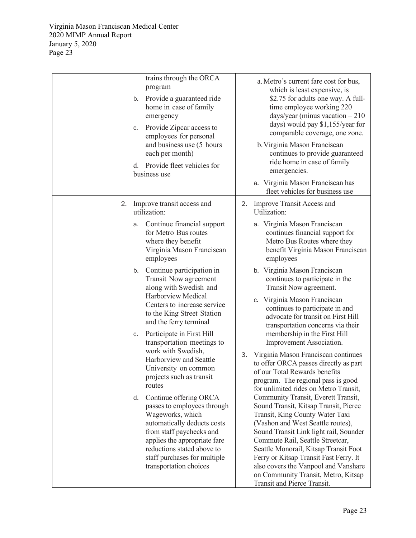| trains through the ORCA<br>program<br>Provide a guaranteed ride<br>b.<br>home in case of family<br>emergency<br>Provide Zipcar access to<br>c.<br>employees for personal<br>and business use (5 hours<br>each per month)<br>d. Provide fleet vehicles for<br>business use | a. Metro's current fare cost for bus,<br>which is least expensive, is<br>\$2.75 for adults one way. A full-<br>time employee working 220<br>days/year (minus vacation = $210$<br>days) would pay \$1,155/year for<br>comparable coverage, one zone.<br>b. Virginia Mason Franciscan<br>continues to provide guaranteed<br>ride home in case of family<br>emergencies.<br>a. Virginia Mason Franciscan has<br>fleet vehicles for business use |
|---------------------------------------------------------------------------------------------------------------------------------------------------------------------------------------------------------------------------------------------------------------------------|----------------------------------------------------------------------------------------------------------------------------------------------------------------------------------------------------------------------------------------------------------------------------------------------------------------------------------------------------------------------------------------------------------------------------------------------|
| Improve transit access and<br>2.<br>utilization:                                                                                                                                                                                                                          | Improve Transit Access and<br>2.<br>Utilization:                                                                                                                                                                                                                                                                                                                                                                                             |
| Continue financial support<br>а.<br>for Metro Bus routes<br>where they benefit<br>Virginia Mason Franciscan<br>employees                                                                                                                                                  | a. Virginia Mason Franciscan<br>continues financial support for<br>Metro Bus Routes where they<br>benefit Virginia Mason Franciscan<br>employees                                                                                                                                                                                                                                                                                             |
| Continue participation in<br>b.<br>Transit Now agreement<br>along with Swedish and                                                                                                                                                                                        | b. Virginia Mason Franciscan<br>continues to participate in the<br>Transit Now agreement.                                                                                                                                                                                                                                                                                                                                                    |
| Harborview Medical<br>Centers to increase service<br>to the King Street Station<br>and the ferry terminal                                                                                                                                                                 | c. Virginia Mason Franciscan<br>continues to participate in and<br>advocate for transit on First Hill<br>transportation concerns via their                                                                                                                                                                                                                                                                                                   |
| Participate in First Hill<br>C.<br>transportation meetings to                                                                                                                                                                                                             | membership in the First Hill<br>Improvement Association.                                                                                                                                                                                                                                                                                                                                                                                     |
| work with Swedish,<br>3.<br>Harborview and Seattle<br>University on common<br>projects such as transit<br>routes                                                                                                                                                          | Virginia Mason Franciscan continues<br>to offer ORCA passes directly as part<br>of our Total Rewards benefits<br>program. The regional pass is good<br>for unlimited rides on Metro Transit,                                                                                                                                                                                                                                                 |
| Continue offering ORCA<br>d.<br>passes to employees through<br>Wageworks, which<br>automatically deducts costs<br>from staff paychecks and<br>applies the appropriate fare<br>reductions stated above to<br>staff purchases for multiple<br>transportation choices        | Community Transit, Everett Transit,<br>Sound Transit, Kitsap Transit, Pierce<br>Transit, King County Water Taxi<br>(Vashon and West Seattle routes),<br>Sound Transit Link light rail, Sounder<br>Commute Rail, Seattle Streetcar,<br>Seattle Monorail, Kitsap Transit Foot<br>Ferry or Kitsap Transit Fast Ferry. It<br>also covers the Vanpool and Vanshare<br>on Community Transit, Metro, Kitsap<br>Transit and Pierce Transit.          |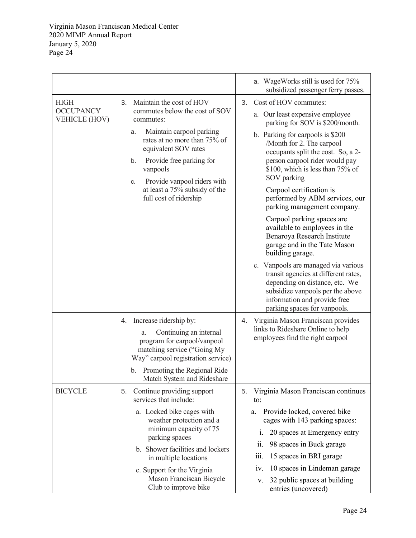|                                                         |                                                                                                                                                                                                                                                                                                                       | a. WageWorks still is used for 75%<br>subsidized passenger ferry passes.                                                                                                                                                                                                                                                                                                                                                                                                                                                                                                                                                                                                                                                                                          |
|---------------------------------------------------------|-----------------------------------------------------------------------------------------------------------------------------------------------------------------------------------------------------------------------------------------------------------------------------------------------------------------------|-------------------------------------------------------------------------------------------------------------------------------------------------------------------------------------------------------------------------------------------------------------------------------------------------------------------------------------------------------------------------------------------------------------------------------------------------------------------------------------------------------------------------------------------------------------------------------------------------------------------------------------------------------------------------------------------------------------------------------------------------------------------|
| <b>HIGH</b><br><b>OCCUPANCY</b><br><b>VEHICLE (HOV)</b> | Maintain the cost of HOV<br>3.<br>commutes below the cost of SOV<br>commutes:<br>Maintain carpool parking<br>a.<br>rates at no more than 75% of<br>equivalent SOV rates<br>Provide free parking for<br>b.<br>vanpools<br>Provide vanpool riders with<br>c.<br>at least a 75% subsidy of the<br>full cost of ridership | Cost of HOV commutes:<br>3.<br>a. Our least expensive employee<br>parking for SOV is \$200/month.<br>b. Parking for carpools is \$200<br>/Month for 2. The carpool<br>occupants split the cost. So, a 2-<br>person carpool rider would pay<br>\$100, which is less than 75% of<br>SOV parking<br>Carpool certification is<br>performed by ABM services, our<br>parking management company.<br>Carpool parking spaces are<br>available to employees in the<br>Benaroya Research Institute<br>garage and in the Tate Mason<br>building garage.<br>c. Vanpools are managed via various<br>transit agencies at different rates,<br>depending on distance, etc. We<br>subsidize vanpools per the above<br>information and provide free<br>parking spaces for vanpools. |
|                                                         | Increase ridership by:<br>4.<br>Continuing an internal<br>a.<br>program for carpool/vanpool<br>matching service ("Going My<br>Way" carpool registration service)<br>b. Promoting the Regional Ride<br>Match System and Rideshare                                                                                      | Virginia Mason Franciscan provides<br>4.<br>links to Rideshare Online to help<br>employees find the right carpool                                                                                                                                                                                                                                                                                                                                                                                                                                                                                                                                                                                                                                                 |
| <b>BICYCLE</b>                                          | Continue providing support<br>5.<br>services that include:<br>a. Locked bike cages with<br>weather protection and a<br>minimum capacity of 75<br>parking spaces<br>b. Shower facilities and lockers<br>in multiple locations<br>c. Support for the Virginia<br>Mason Franciscan Bicycle<br>Club to improve bike       | Virginia Mason Franciscan continues<br>5.<br>to:<br>Provide locked, covered bike<br>a.<br>cages with 143 parking spaces:<br>20 spaces at Emergency entry<br>1.<br>98 spaces in Buck garage<br>i1.<br>15 spaces in BRI garage<br>111.<br>10 spaces in Lindeman garage<br>1V.<br>32 public spaces at building<br>v.<br>entries (uncovered)                                                                                                                                                                                                                                                                                                                                                                                                                          |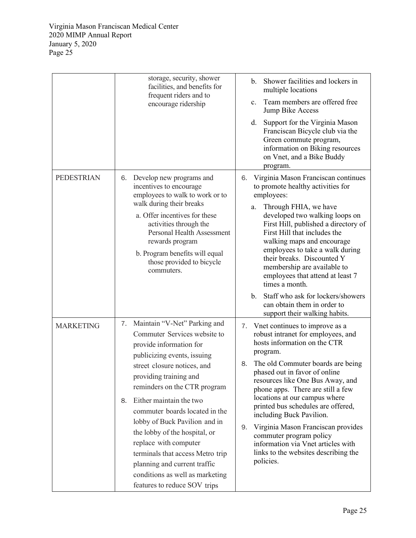|                   | storage, security, shower<br>facilities, and benefits for<br>frequent riders and to<br>encourage ridership                                                                                                                                                                                                                                                                                                                                                                                                                 | Shower facilities and lockers in<br>$\mathbf{b}$ .<br>multiple locations<br>Team members are offered free<br>$\mathbf{c}$ .<br>Jump Bike Access<br>Support for the Virginia Mason<br>d.<br>Franciscan Bicycle club via the<br>Green commute program,<br>information on Biking resources<br>on Vnet, and a Bike Buddy                                                                                                                                                                                                                                                           |
|-------------------|----------------------------------------------------------------------------------------------------------------------------------------------------------------------------------------------------------------------------------------------------------------------------------------------------------------------------------------------------------------------------------------------------------------------------------------------------------------------------------------------------------------------------|--------------------------------------------------------------------------------------------------------------------------------------------------------------------------------------------------------------------------------------------------------------------------------------------------------------------------------------------------------------------------------------------------------------------------------------------------------------------------------------------------------------------------------------------------------------------------------|
| <b>PEDESTRIAN</b> | 6. Develop new programs and<br>incentives to encourage<br>employees to walk to work or to<br>walk during their breaks<br>a. Offer incentives for these<br>activities through the<br>Personal Health Assessment<br>rewards program<br>b. Program benefits will equal<br>those provided to bicycle<br>commuters.                                                                                                                                                                                                             | program.<br>Virginia Mason Franciscan continues<br>6.<br>to promote healthy activities for<br>employees:<br>Through FHIA, we have<br>a.<br>developed two walking loops on<br>First Hill, published a directory of<br>First Hill that includes the<br>walking maps and encourage<br>employees to take a walk during<br>their breaks. Discounted Y<br>membership are available to<br>employees that attend at least 7<br>times a month.<br>Staff who ask for lockers/showers<br>$\mathbf{b}$ .<br>can obtain them in order to                                                    |
| <b>MARKETING</b>  | Maintain "V-Net" Parking and<br>7.<br>Commuter Services website to<br>provide information for<br>publicizing events, issuing<br>street closure notices, and<br>providing training and<br>reminders on the CTR program<br>Either maintain the two<br>8.<br>commuter boards located in the<br>lobby of Buck Pavilion and in<br>the lobby of the hospital, or<br>replace with computer<br>terminals that access Metro trip<br>planning and current traffic<br>conditions as well as marketing<br>features to reduce SOV trips | support their walking habits.<br>7. Vnet continues to improve as a<br>robust intranet for employees, and<br>hosts information on the CTR<br>program.<br>The old Commuter boards are being<br>8.<br>phased out in favor of online<br>resources like One Bus Away, and<br>phone apps. There are still a few<br>locations at our campus where<br>printed bus schedules are offered,<br>including Buck Pavilion.<br>Virginia Mason Franciscan provides<br>9.<br>commuter program policy<br>information via Vnet articles with<br>links to the websites describing the<br>policies. |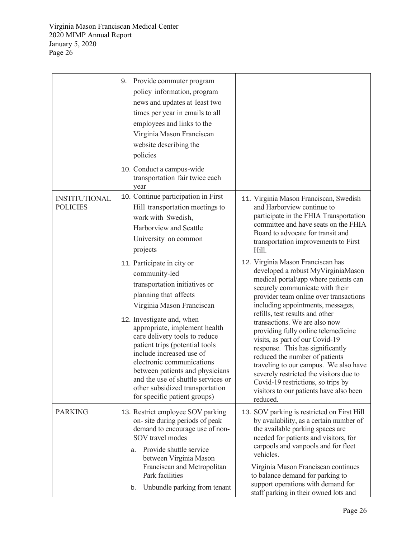|                                         | Provide commuter program<br>9.<br>policy information, program<br>news and updates at least two<br>times per year in emails to all<br>employees and links to the<br>Virginia Mason Franciscan<br>website describing the<br>policies<br>10. Conduct a campus-wide<br>transportation fair twice each<br>year                                                                                                                                                                |                                                                                                                                                                                                                                                                                                                                                                                                                                                                                                                                                                                                                                         |
|-----------------------------------------|--------------------------------------------------------------------------------------------------------------------------------------------------------------------------------------------------------------------------------------------------------------------------------------------------------------------------------------------------------------------------------------------------------------------------------------------------------------------------|-----------------------------------------------------------------------------------------------------------------------------------------------------------------------------------------------------------------------------------------------------------------------------------------------------------------------------------------------------------------------------------------------------------------------------------------------------------------------------------------------------------------------------------------------------------------------------------------------------------------------------------------|
| <b>INSTITUTIONAL</b><br><b>POLICIES</b> | 10. Continue participation in First<br>Hill transportation meetings to<br>work with Swedish,<br>Harborview and Seattle<br>University on common<br>projects                                                                                                                                                                                                                                                                                                               | 11. Virginia Mason Franciscan, Swedish<br>and Harborview continue to<br>participate in the FHIA Transportation<br>committee and have seats on the FHIA<br>Board to advocate for transit and<br>transportation improvements to First<br>Hill.                                                                                                                                                                                                                                                                                                                                                                                            |
|                                         | 11. Participate in city or<br>community-led<br>transportation initiatives or<br>planning that affects<br>Virginia Mason Franciscan<br>12. Investigate and, when<br>appropriate, implement health<br>care delivery tools to reduce<br>patient trips (potential tools<br>include increased use of<br>electronic communications<br>between patients and physicians<br>and the use of shuttle services or<br>other subsidized transportation<br>for specific patient groups) | 12. Virginia Mason Franciscan has<br>developed a robust MyVirginiaMason<br>medical portal/app where patients can<br>securely communicate with their<br>provider team online over transactions<br>including appointments, messages,<br>refills, test results and other<br>transactions. We are also now<br>providing fully online telemedicine<br>visits, as part of our Covid-19<br>response. This has significantly<br>reduced the number of patients<br>traveling to our campus. We also have<br>severely restricted the visitors due to<br>Covid-19 restrictions, so trips by<br>visitors to our patients have also been<br>reduced. |
| <b>PARKING</b>                          | 13. Restrict employee SOV parking<br>on-site during periods of peak<br>demand to encourage use of non-<br>SOV travel modes<br>Provide shuttle service<br>a.<br>between Virginia Mason<br>Franciscan and Metropolitan<br>Park facilities<br>Unbundle parking from tenant<br>b.                                                                                                                                                                                            | 13. SOV parking is restricted on First Hill<br>by availability, as a certain number of<br>the available parking spaces are<br>needed for patients and visitors, for<br>carpools and vanpools and for fleet<br>vehicles.<br>Virginia Mason Franciscan continues<br>to balance demand for parking to<br>support operations with demand for<br>staff parking in their owned lots and                                                                                                                                                                                                                                                       |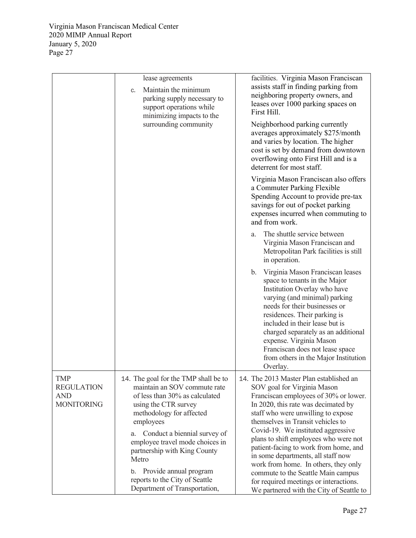|                                                                    | lease agreements<br>Maintain the minimum<br>C <sub>1</sub><br>parking supply necessary to<br>support operations while<br>minimizing impacts to the<br>surrounding community                                                                                                                                                                                                            | facilities. Virginia Mason Franciscan<br>assists staff in finding parking from<br>neighboring property owners, and<br>leases over 1000 parking spaces on<br>First Hill.<br>Neighborhood parking currently<br>averages approximately \$275/month<br>and varies by location. The higher<br>cost is set by demand from downtown<br>overflowing onto First Hill and is a<br>deterrent for most staff.                                                                                                                                                                   |
|--------------------------------------------------------------------|----------------------------------------------------------------------------------------------------------------------------------------------------------------------------------------------------------------------------------------------------------------------------------------------------------------------------------------------------------------------------------------|---------------------------------------------------------------------------------------------------------------------------------------------------------------------------------------------------------------------------------------------------------------------------------------------------------------------------------------------------------------------------------------------------------------------------------------------------------------------------------------------------------------------------------------------------------------------|
|                                                                    |                                                                                                                                                                                                                                                                                                                                                                                        | Virginia Mason Franciscan also offers<br>a Commuter Parking Flexible<br>Spending Account to provide pre-tax<br>savings for out of pocket parking<br>expenses incurred when commuting to<br>and from work.                                                                                                                                                                                                                                                                                                                                                           |
|                                                                    |                                                                                                                                                                                                                                                                                                                                                                                        | The shuttle service between<br>a.<br>Virginia Mason Franciscan and<br>Metropolitan Park facilities is still<br>in operation.                                                                                                                                                                                                                                                                                                                                                                                                                                        |
|                                                                    |                                                                                                                                                                                                                                                                                                                                                                                        | b. Virginia Mason Franciscan leases<br>space to tenants in the Major<br>Institution Overlay who have<br>varying (and minimal) parking<br>needs for their businesses or<br>residences. Their parking is<br>included in their lease but is<br>charged separately as an additional<br>expense. Virginia Mason<br>Franciscan does not lease space<br>from others in the Major Institution<br>Overlay.                                                                                                                                                                   |
| <b>TMP</b><br><b>REGULATION</b><br><b>AND</b><br><b>MONITORING</b> | 14. The goal for the TMP shall be to<br>maintain an SOV commute rate<br>of less than 30% as calculated<br>using the CTR survey<br>methodology for affected<br>employees<br>a. Conduct a biennial survey of<br>employee travel mode choices in<br>partnership with King County<br>Metro<br>b. Provide annual program<br>reports to the City of Seattle<br>Department of Transportation, | 14. The 2013 Master Plan established an<br>SOV goal for Virginia Mason<br>Franciscan employees of 30% or lower.<br>In 2020, this rate was decimated by<br>staff who were unwilling to expose<br>themselves in Transit vehicles to<br>Covid-19. We instituted aggressive<br>plans to shift employees who were not<br>patient-facing to work from home, and<br>in some departments, all staff now<br>work from home. In others, they only<br>commute to the Seattle Main campus<br>for required meetings or interactions.<br>We partnered with the City of Seattle to |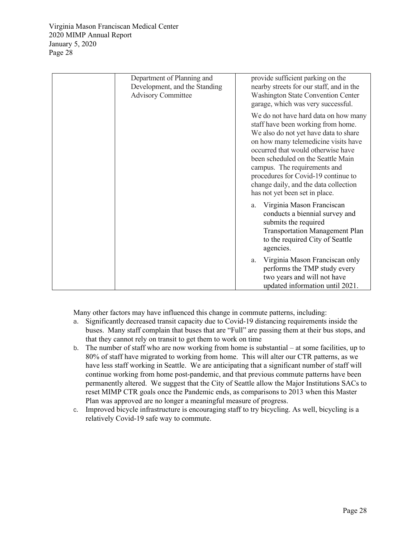| Department of Planning and                                 | provide sufficient parking on the                                                                                                                                                                                                                                                                                                                                                         |
|------------------------------------------------------------|-------------------------------------------------------------------------------------------------------------------------------------------------------------------------------------------------------------------------------------------------------------------------------------------------------------------------------------------------------------------------------------------|
| Development, and the Standing<br><b>Advisory Committee</b> | nearby streets for our staff, and in the<br><b>Washington State Convention Center</b><br>garage, which was very successful.                                                                                                                                                                                                                                                               |
|                                                            | We do not have hard data on how many<br>staff have been working from home.<br>We also do not yet have data to share<br>on how many telemedicine visits have<br>occurred that would otherwise have<br>been scheduled on the Seattle Main<br>campus. The requirements and<br>procedures for Covid-19 continue to<br>change daily, and the data collection<br>has not yet been set in place. |
|                                                            | a. Virginia Mason Franciscan<br>conducts a biennial survey and<br>submits the required<br><b>Transportation Management Plan</b><br>to the required City of Seattle<br>agencies.                                                                                                                                                                                                           |
|                                                            | Virginia Mason Franciscan only<br>a.<br>performs the TMP study every<br>two years and will not have<br>updated information until 2021.                                                                                                                                                                                                                                                    |

Many other factors may have influenced this change in commute patterns, including:

- a. Significantly decreased transit capacity due to Covid-19 distancing requirements inside the buses. Many staff complain that buses that are "Full" are passing them at their bus stops, and that they cannot rely on transit to get them to work on time
- b. The number of staff who are now working from home is substantial at some facilities, up to 80% of staff have migrated to working from home. This will alter our CTR patterns, as we have less staff working in Seattle. We are anticipating that a significant number of staff will continue working from home post-pandemic, and that previous commute patterns have been permanently altered. We suggest that the City of Seattle allow the Major Institutions SACs to reset MIMP CTR goals once the Pandemic ends, as comparisons to 2013 when this Master Plan was approved are no longer a meaningful measure of progress.
- c. Improved bicycle infrastructure is encouraging staff to try bicycling. As well, bicycling is a relatively Covid-19 safe way to commute.